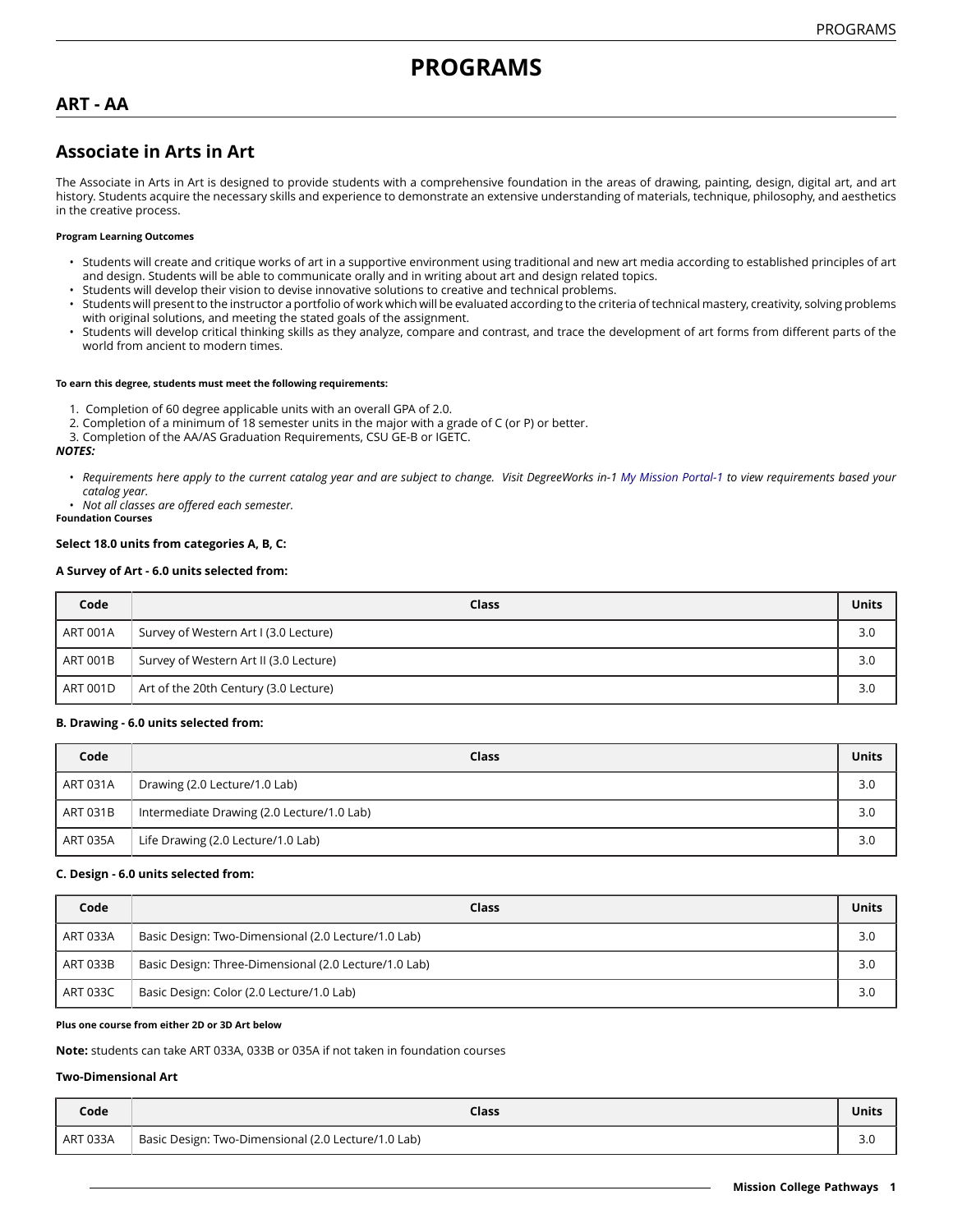# **PROGRAMS**

# **ART - AA**

# **Associate in Arts in Art**

The Associate in Arts in Art is designed to provide students with a comprehensive foundation in the areas of drawing, painting, design, digital art, and art history. Students acquire the necessary skills and experience to demonstrate an extensive understanding of materials, technique, philosophy, and aesthetics in the creative process.

#### **Program Learning Outcomes**

- Students will create and critique works of art in a supportive environment using traditional and new art media according to established principles of art and design. Students will be able to communicate orally and in writing about art and design related topics.
- Students will develop their vision to devise innovative solutions to creative and technical problems.
- Students will present to the instructor a portfolio of work which will be evaluated according to the criteria of technical mastery, creativity, solving problems with original solutions, and meeting the stated goals of the assignment.
- Students will develop critical thinking skills as they analyze, compare and contrast, and trace the development of art forms from different parts of the world from ancient to modern times.

#### **To earn this degree, students must meet the following requirements:**

- 1. Completion of 60 degree applicable units with an overall GPA of 2.0.
- 2. Completion of a minimum of 18 semester units in the major with a grade of C (or P) or better.
- 3. Completion of the AA/AS Graduation Requirements, CSU GE-B or IGETC.

#### *NOTES:*

- · Requirements here apply to the current catalog year and are subject to change. Visit DegreeWorks in-1 [My Mission Portal-1](https://wvmccd.sharepoint.com/sites/MCPortal) to view requirements based your *catalog year.*
- *Not all classes are offered each semester.*

**Foundation Courses**

#### **Select 18.0 units from categories A, B, C:**

#### **A Survey of Art - 6.0 units selected from:**

| Code            | Class                                  | <b>Units</b> |
|-----------------|----------------------------------------|--------------|
| <b>ART 001A</b> | Survey of Western Art I (3.0 Lecture)  | 3.0          |
| ART 001B        | Survey of Western Art II (3.0 Lecture) | 3.0          |
| ART 001D        | Art of the 20th Century (3.0 Lecture)  | 3.0          |

#### **B. Drawing - 6.0 units selected from:**

| Code     | Class                                      | <b>Units</b> |
|----------|--------------------------------------------|--------------|
| ART 031A | Drawing (2.0 Lecture/1.0 Lab)              | 3.0          |
| ART 031B | Intermediate Drawing (2.0 Lecture/1.0 Lab) | 3.0          |
| ART 035A | Life Drawing (2.0 Lecture/1.0 Lab)         | 3.0          |

#### **C. Design - 6.0 units selected from:**

| Code     | Class                                                 | <b>Units</b> |
|----------|-------------------------------------------------------|--------------|
| ART 033A | Basic Design: Two-Dimensional (2.0 Lecture/1.0 Lab)   | 3.0          |
| ART 033B | Basic Design: Three-Dimensional (2.0 Lecture/1.0 Lab) | 3.0          |
| ART 033C | Basic Design: Color (2.0 Lecture/1.0 Lab)             | 3.0          |

#### **Plus one course from either 2D or 3D Art below**

**Note:** students can take ART 033A, 033B or 035A if not taken in foundation courses

#### **Two-Dimensional Art**

| Code     | Class                                               | <b>Units</b>         |
|----------|-----------------------------------------------------|----------------------|
| ART 033A | Basic Design: Two-Dimensional (2.0 Lecture/1.0 Lab) | $\sim$ $\sim$<br>J.U |